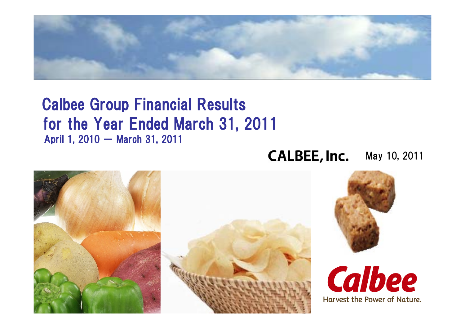

### Calbee Group Financial Results for the Year Ended March 31, 2011 April 1, 2010 - March 31, 2011

#### **CALBEE, Inc.** May 10, 2011

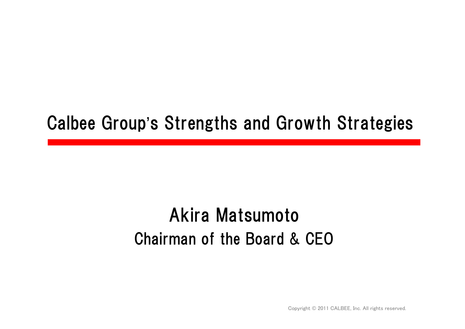## Calbee Group's Strengths and Growth Strategies

## Akira Matsumoto Chairman of the Board & CEO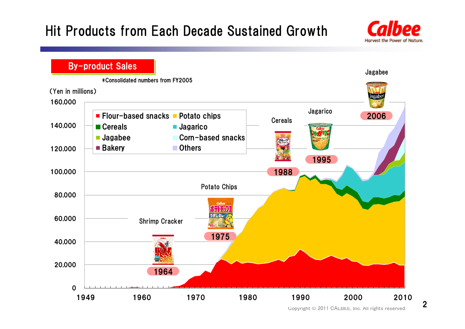### Hit Products from Each Decade Sustained Growth



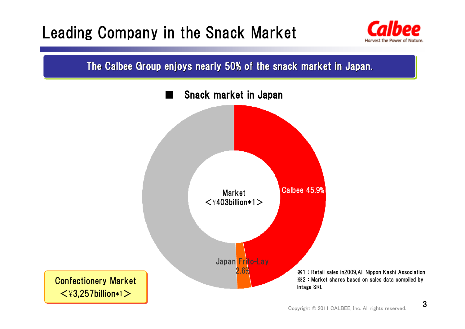## Leading Company in the Snack Market



The Calbee Group enjoys nearly 50% of the snack market in Japan.

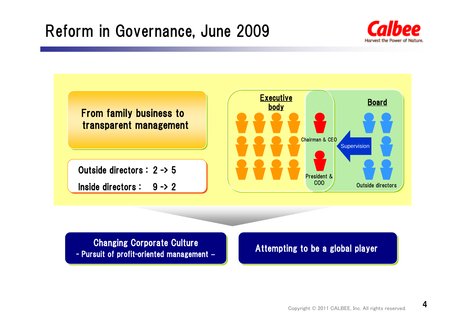## Reform in Governance, June 2009



#### Changing Corporate Culture Changing Corporate Culture **-** Pursuit of profit-oriented management – **Attempting to be a global player**<br>- Pursuit of profit-oriented management –

4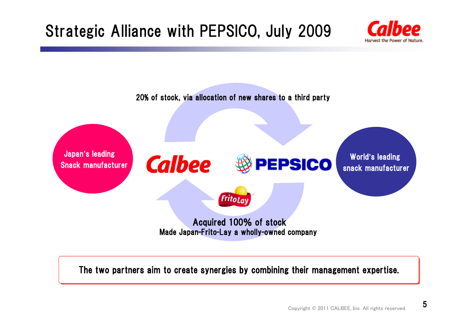## Strategic Alliance with PEPSICO, July 2009





The two partners aim to create synergies by combining their management expertise.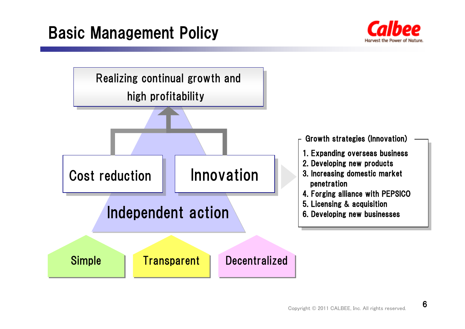## Basic Management Policy



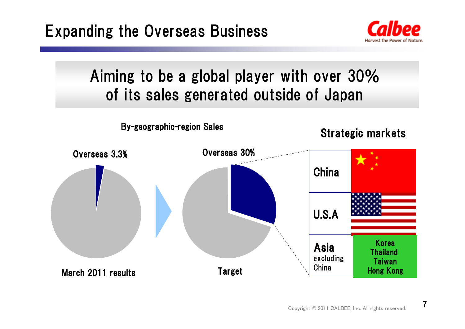

## Aiming to be a global player with over 30% of its sales generated outside of Japan



7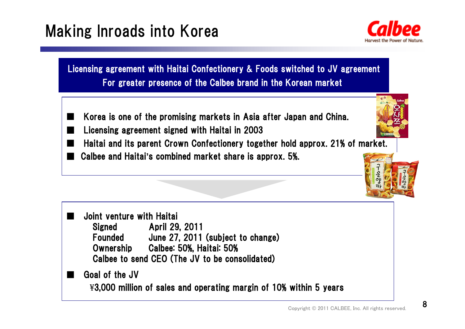## Making Inroads into Korea



Licensing agreement with Haitai Confectionery & Foods switched to JV agreement For greater presence of the Calbee brand in the Korean market

- ■ Korea is one of the promising markets in Asia after Japan and China. Licensing agreement signed with Haitai in 2003
- ■■ Haitai and its parent Crown Confectionery together hold approx. 21% of market. Calbee and Haitai**'**s combined market share is approx. 5%.



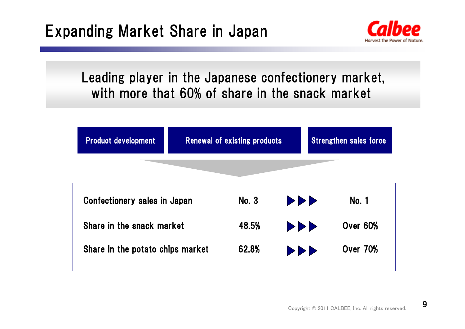

### Leading player in the Japanese confectionery market, with more that 60% of share in the snack market

| <b>Product development</b>       |  | Renewal of existing products |                                                             | <b>Strengthen sales force</b> |
|----------------------------------|--|------------------------------|-------------------------------------------------------------|-------------------------------|
|                                  |  |                              |                                                             |                               |
| Confectionery sales in Japan     |  | <b>No. 3</b>                 | <b>DDD</b>                                                  | <b>No. 1</b>                  |
| Share in the snack market        |  | 48.5%                        | $\blacktriangleright\blacktriangleright\blacktriangleright$ | Over 60%                      |
| Share in the potato chips market |  | 62.8%                        | <b>PPP</b>                                                  | <b>Over 70%</b>               |

9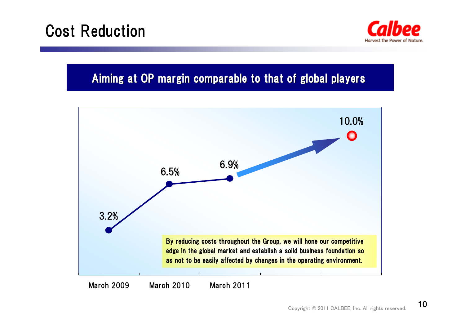## Cost Reduction



#### Aiming at OP margin comparable to that of global players



March 2009 March 2010 March 2011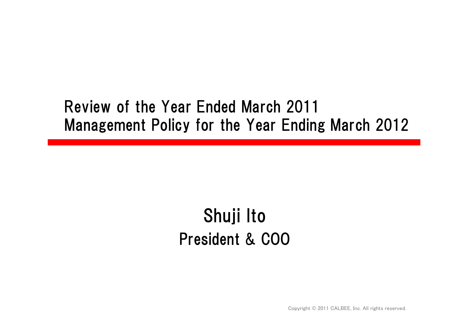## Review of the Year Ended March 2011 Management Policy for the Year Ending March 2012

## Shuji Ito President & COO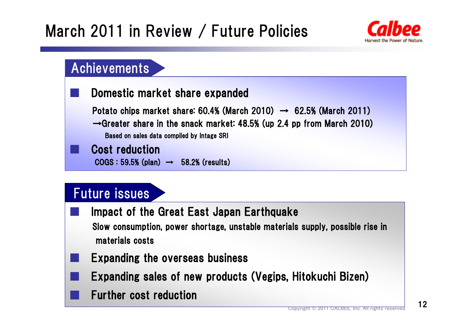## March 2011 in Review / Future Policies



### Achievements

#### Domestic market share expanded

Potato chips market share: 60.4% (March 2010) → 62.5% (March 2011)  $\rightarrow$ Greater share in the snack market: 48.5% (up 2.4 pp from March 2010)

Based on sales data compiled by Intage SRI

#### Cost reduction

COGS : 59.5% (plan) → 58.2% (results)

### Future issues

- Impact of the Great East Japan Earthquake Slow consumption, power shortage, unstable materials supply, possible rise in materials costs
- Expanding the overseas business
- **Expanding sales of new products (Vegips, Hitokuchi Bizen)** 
	- Further cost reduction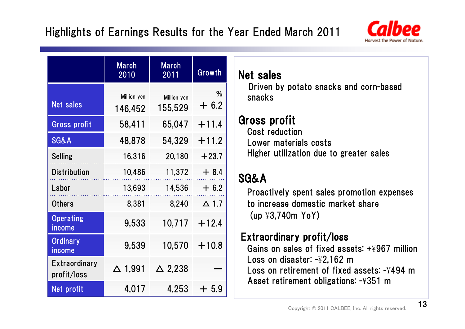

|                                     | <b>March</b><br>2010   | <b>March</b><br>2011   | Growth       |  |
|-------------------------------------|------------------------|------------------------|--------------|--|
| <b>Net sales</b>                    | Million yen<br>146,452 | Million yen<br>155,529 | %<br>$+6.2$  |  |
| <b>Gross profit</b>                 | 58,411                 | 65,047                 | $+11.4$      |  |
| <b>SG&amp;A</b>                     | 48,878                 | 54,329                 | $+11.2$      |  |
| <b>Selling</b>                      | 16,316                 | 20,180                 | $+23.7$      |  |
| <b>Distribution</b>                 | 10,486                 | 11,372                 | $+8.4$       |  |
| Labor                               | 13,693                 | 14,536                 | $+6.2$       |  |
| <b>Others</b>                       | 8,381                  | 8,240                  | $\Delta$ 1.7 |  |
| <b>Operating</b><br>income          | 9,533                  | 10,717                 | $+12.4$      |  |
| <b>Ordinary</b><br>income           | 9,539                  | 10,570                 | $+10.8$      |  |
| <b>Extraordinary</b><br>profit/loss | $\Delta$ 1,991         | $\triangle$ 2,238      |              |  |
| Net profit                          | 4,017                  | 4,253                  | $+5.9$       |  |

### Net sales

Driven by potato snacks and corn-based snacks

## Gross profit

Cost reduction Lower materials costs Higher utilization due to greater sales

### SG&A

Proactively spent sales promotion expenses to increase domestic market share(up ¥3,740m YoY)

### Extraordinary profit/loss

Gains on sales of fixed assets: +¥967 million Loss on disaster: -¥2,162 m Loss on retirement of fixed assets: -¥494 mAsset retirement obligations: -¥351 m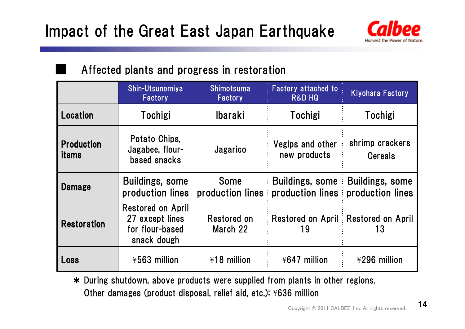

### Affected plants and progress in restoration

■

|                                   | Shin-Utsunomiya<br>Factory                                             | <b>Shimotsuma</b><br>Factory    | <b>Factory attached to</b><br><b>R&amp;D HQ</b> | <b>Kiyohara Factory</b>                    |  |
|-----------------------------------|------------------------------------------------------------------------|---------------------------------|-------------------------------------------------|--------------------------------------------|--|
| Location                          | Tochigi                                                                | <b>Ibaraki</b>                  | Tochigi                                         | Tochigi                                    |  |
| <b>Production</b><br><i>items</i> | Potato Chips,<br>Jagabee, flour-<br>based snacks                       | Jagarico                        | Vegips and other<br>new products                | shrimp crackers<br><b>Cereals</b>          |  |
| <b>Damage</b>                     | <b>Buildings, some</b><br>production lines                             | <b>Some</b><br>production lines | <b>Buildings, some</b><br>production lines      | <b>Buildings, some</b><br>production lines |  |
| <b>Restoration</b>                | Restored on April<br>27 except lines<br>for flour-based<br>snack dough | Restored on<br>March 22         | <b>Restored on April</b><br>19                  | <b>Restored on April</b><br>13             |  |
| Loss                              | ¥563 million                                                           | ¥18 million                     | ¥647 million                                    | ¥296 million                               |  |

\* During shutdown, above products were supplied from plants in other regions. Other damages (product disposal, relief aid, etc.): ¥636 million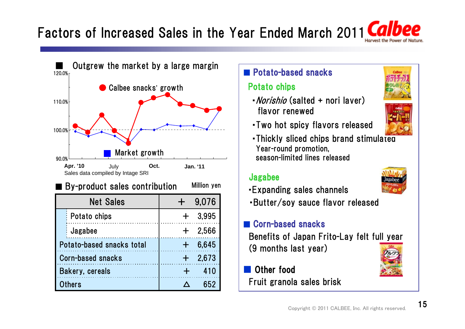## Factors of Increased Sales in the Year Ended March 2011



#### ■ Potato-based snacks

#### Potato chips

•*Norishio* (salted + nori laver) flavor renewed



- 
- ・Two hot spicy flavors released
- ・Thickly sliced chips brand stimulated Year-round promotion, season-limited lines released

#### Jagabee

- ・Expanding sales channels
- ・Butter/soy sauce flavor released

#### ■ Corn-based snacks

Benefits of Japan Frito-Lay felt full year (9 months last year)

#### Other food Fruit granola sales brisk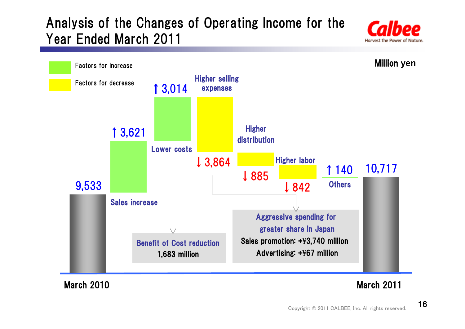### Analysis of the Changes of Operating Income for the Year Ended March 2011





March 2010

#### March 2011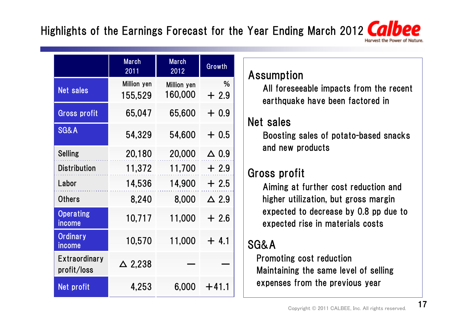### Highlights of the Earnings Forecast for the Year Ending March 2012 CO

|                                     | <b>March</b><br>2011   | <b>March</b><br>2012   | Growth          |
|-------------------------------------|------------------------|------------------------|-----------------|
| <b>Net sales</b>                    | Million yen<br>155,529 | Million yen<br>160,000 | %<br>$+2.9$     |
| <b>Gross profit</b>                 | 65,047                 | 65,600                 | $+0.9$          |
| <b>SG&amp;A</b>                     | 54,329                 | 54,600                 | $+0.5$          |
| <b>Selling</b>                      | 20,180                 | 20,000                 | $\triangle$ 0.9 |
| <b>Distribution</b>                 | 11,372                 | 11,700                 | $+2.9$          |
| Labor                               | 14,536                 | 14,900                 | $+2.5$          |
| <b>Others</b>                       | 8,240                  | 8,000                  | $\triangle$ 2.9 |
| <b>Operating</b><br>income          | 10,717                 | 11,000                 | $+2.6$          |
| <b>Ordinary</b><br>income           | 10,570                 | 11,000                 | $+4.1$          |
| <b>Extraordinary</b><br>profit/loss | $\Delta$ 2,238         |                        |                 |
| Net profit                          | 4,253                  | 6,000                  | $+41.1$         |

#### Assumption

All foreseeable impacts from the recent earthquake have been factored in

### Net sales

Boosting sales of potato-based snacks and new products

### Gross profit

Aiming at further cost reduction and higher utilization, but gross margin expected to decrease by 0.8 pp due to expected rise in materials costs

### SG&A

Promoting cost reduction Maintaining the same level of selling expenses from the previous year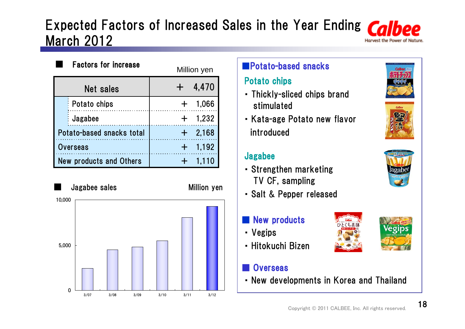### Expected Factors of Increased Sales in the Year Ending Cal March 2012

|                                | <b>Factors for increase</b> |  | Million yen |
|--------------------------------|-----------------------------|--|-------------|
|                                | <b>Net sales</b>            |  | 4,470       |
|                                | Potato chips                |  | 1,066       |
|                                | Jagabee                     |  | 1,232       |
| Potato-based snacks total      |                             |  | 2,168       |
| <b>Overseas</b>                |                             |  | 1,192       |
| <b>New products and Others</b> |                             |  | 1,110       |

■ Jagabee sales Million yen 05,000 10,000 3/07 3/08 3/09 3/10 3/11 3/12

### ■Potato-based snacks

#### Potato chips

- ・ Thickly-sliced chips brand stimulated
- ・ Kata-age Potato new flavor introduced

#### Jagabee

- ・ Strengthen marketing TV CF, sampling
- ・ Salt & Pepper released

#### New products

- ・ Vegips
- ・ Hitokuchi Bizen

#### **Overseas**

・ New developments in Korea and Thailand







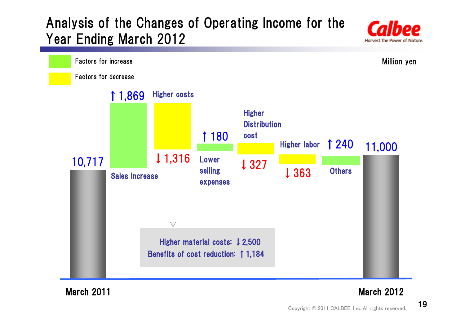### Analysis of the Changes of Operating Income for the Year Ending March 2012





March 2011

#### March 2012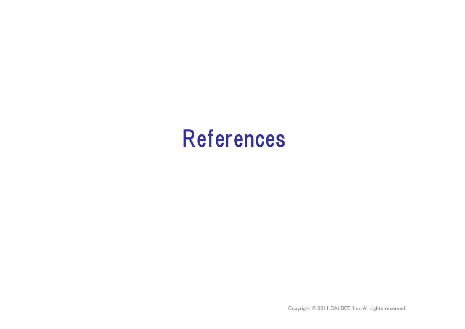# References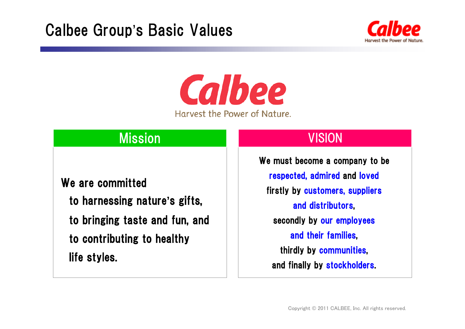

**Calbee** Harvest the Power of Nature.

### Mission VISION

#### We are committed

- to harnessing nature**'**s gifts,
- to bringing taste and fun, and
- to contributing to healthy life styles.

We must become a company to be respected, admired and loved firstly by customers, suppliers and distributors, secondly by our employees and their families, thirdly by communities, and finally by stockholders.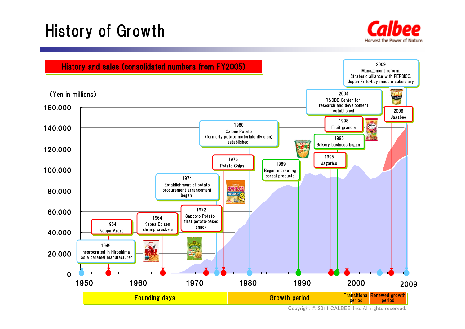## History of Growth



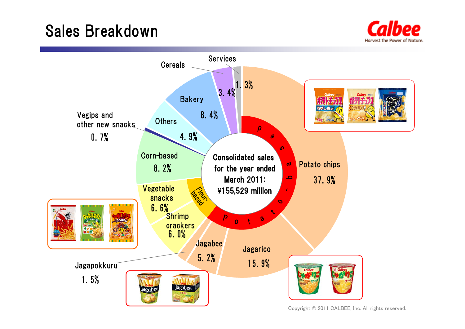## Sales Breakdown